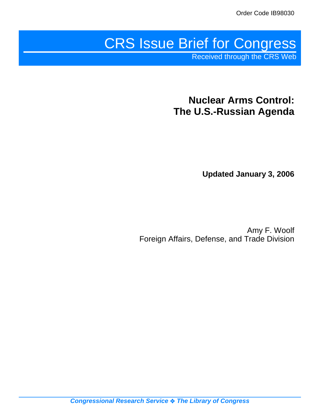# CRS Issue Brief for Congress

Received through the CRS Web

## **Nuclear Arms Control: The U.S.-Russian Agenda**

**Updated January 3, 2006**

Amy F. Woolf Foreign Affairs, Defense, and Trade Division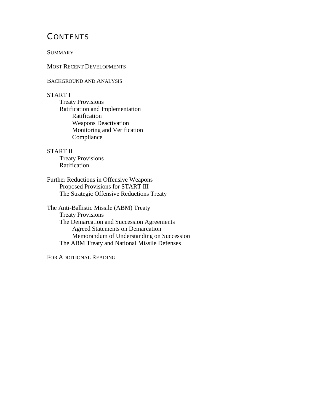## **CONTENTS**

**SUMMARY** 

MOST RECENT DEVELOPMENTS

BACKGROUND AND ANALYSIS

#### START I

Treaty Provisions Ratification and Implementation Ratification Weapons Deactivation Monitoring and Verification Compliance

#### START II

Treaty Provisions Ratification

Further Reductions in Offensive Weapons Proposed Provisions for START III The Strategic Offensive Reductions Treaty

The Anti-Ballistic Missile (ABM) Treaty Treaty Provisions The Demarcation and Succession Agreements Agreed Statements on Demarcation Memorandum of Understanding on Succession The ABM Treaty and National Missile Defenses

FOR ADDITIONAL READING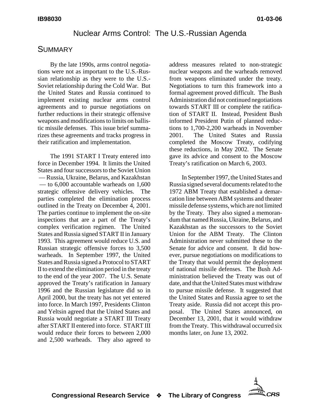## Nuclear Arms Control: The U.S.-Russian Agenda

## **SUMMARY**

By the late 1990s, arms control negotiations were not as important to the U.S.-Russian relationship as they were to the U.S.- Soviet relationship during the Cold War. But the United States and Russia continued to implement existing nuclear arms control agreements and to pursue negotiations on further reductions in their strategic offensive weapons and modifications to limits on ballistic missile defenses. This issue brief summarizes these agreements and tracks progress in their ratification and implementation.

The 1991 START I Treaty entered into force in December 1994. It limits the United States and four successors to the Soviet Union — Russia, Ukraine, Belarus, and Kazakhstan — to 6,000 accountable warheads on 1,600 strategic offensive delivery vehicles. The parties completed the elimination process outlined in the Treaty on December 4, 2001. The parties continue to implement the on-site inspections that are a part of the Treaty's complex verification regimen. The United States and Russia signed START II in January 1993. This agreement would reduce U.S. and Russian strategic offensive forces to 3,500 warheads. In September 1997, the United States and Russia signed a Protocol to START II to extend the elimination period in the treaty to the end of the year 2007. The U.S. Senate approved the Treaty's ratification in January 1996 and the Russian legislature did so in April 2000, but the treaty has not yet entered into force. In March 1997, Presidents Clinton and Yeltsin agreed that the United States and Russia would negotiate a START III Treaty after START II entered into force. START III would reduce their forces to between 2,000 and 2,500 warheads. They also agreed to

address measures related to non-strategic nuclear weapons and the warheads removed from weapons eliminated under the treaty. Negotiations to turn this framework into a formal agreement proved difficult. The Bush Administration did not continued negotiations towards START III or complete the ratification of START II. Instead, President Bush informed President Putin of planned reductions to 1,700-2,200 warheads in November 2001. The United States and Russia completed the Moscow Treaty, codifying these reductions, in May 2002. The Senate gave its advice and consent to the Moscow Treaty's ratification on March 6, 2003.

In September 1997, the United States and Russia signed several documents related to the 1972 ABM Treaty that established a demarcation line between ABM systems and theater missile defense systems, which are not limited by the Treaty. They also signed a memorandum that named Russia, Ukraine, Belarus, and Kazakhstan as the successors to the Soviet Union for the ABM Treaty. The Clinton Administration never submitted these to the Senate for advice and consent. It did however, pursue negotiations on modifications to the Treaty that would permit the deployment of national missile defenses. The Bush Administration believed the Treaty was out of date, and that the United States must withdraw to pursue missile defense. It suggested that the United States and Russia agree to set the Treaty aside. Russia did not accept this proposal. The United States announced, on December 13, 2001, that it would withdraw from the Treaty. This withdrawal occurred six months later, on June 13, 2002.

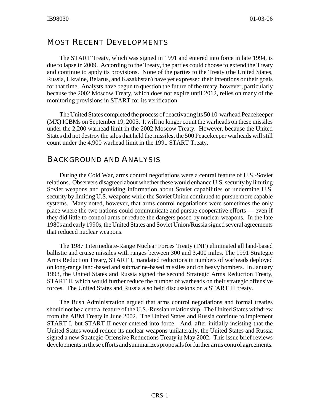## MOST RECENT DEVELOPMENTS

The START Treaty, which was signed in 1991 and entered into force in late 1994, is due to lapse in 2009. According to the Treaty, the parties could choose to extend the Treaty and continue to apply its provisions. None of the parties to the Treaty (the United States, Russia, Ukraine, Belarus, and Kazakhstan) have yet expressed their intentions or their goals for that time. Analysts have begun to question the future of the treaty, however, particularly because the 2002 Moscow Treaty, which does not expire until 2012, relies on many of the monitoring provisions in START for its verification.

The United States completed the process of deactivating its 50 10-warhead Peacekeeper (MX) ICBMs on September 19, 2005. It will no longer count the warheads on these missiles under the 2,200 warhead limit in the 2002 Moscow Treaty. However, because the United States did not destroy the silos that held the missiles, the 500 Peacekeeper warheads will still count under the 4,900 warhead limit in the 1991 START Treaty.

## BACKGROUND AND ANALYSIS

During the Cold War, arms control negotiations were a central feature of U.S.-Soviet relations. Observers disagreed about whether these would enhance U.S. security by limiting Soviet weapons and providing information about Soviet capabilities or undermine U.S. security by limiting U.S. weapons while the Soviet Union continued to pursue more capable systems. Many noted, however, that arms control negotiations were sometimes the only place where the two nations could communicate and pursue cooperative efforts — even if they did little to control arms or reduce the dangers posed by nuclear weapons. In the late 1980s and early 1990s, the United States and Soviet Union/Russia signed several agreements that reduced nuclear weapons.

The 1987 Intermediate-Range Nuclear Forces Treaty (INF) eliminated all land-based ballistic and cruise missiles with ranges between 300 and 3,400 miles. The 1991 Strategic Arms Reduction Treaty, START I, mandated reductions in numbers of warheads deployed on long-range land-based and submarine-based missiles and on heavy bombers. In January 1993, the United States and Russia signed the second Strategic Arms Reduction Treaty, START II, which would further reduce the number of warheads on their strategic offensive forces. The United States and Russia also held discussions on a START III treaty.

The Bush Administration argued that arms control negotiations and formal treaties should not be a central feature of the U.S.-Russian relationship. The United States withdrew from the ABM Treaty in June 2002. The United States and Russia continue to implement START I, but START II never entered into force. And, after initially insisting that the United States would reduce its nuclear weapons unilaterally, the United States and Russia signed a new Strategic Offensive Reductions Treaty in May 2002. This issue brief reviews developments in these efforts and summarizes proposals for further arms control agreements.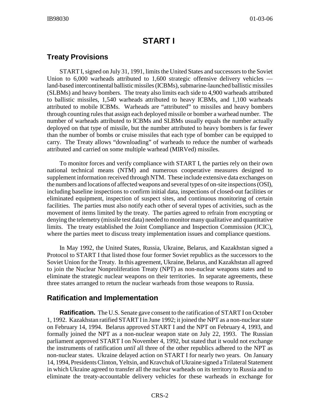## **START I**

## **Treaty Provisions**

START I, signed on July 31, 1991, limits the United States and successors to the Soviet Union to 6,000 warheads attributed to 1,600 strategic offensive delivery vehicles land-based intercontinental ballistic missiles (ICBMs), submarine-launched ballistic missiles (SLBMs) and heavy bombers. The treaty also limits each side to 4,900 warheads attributed to ballistic missiles, 1,540 warheads attributed to heavy ICBMs, and 1,100 warheads attributed to mobile ICBMs. Warheads are "attributed" to missiles and heavy bombers through counting rules that assign each deployed missile or bomber a warhead number. The number of warheads attributed to ICBMs and SLBMs usually equals the number actually deployed on that type of missile, but the number attributed to heavy bombers is far fewer than the number of bombs or cruise missiles that each type of bomber can be equipped to carry. The Treaty allows "downloading" of warheads to reduce the number of warheads attributed and carried on some multiple warhead (MIRVed) missiles.

To monitor forces and verify compliance with START I, the parties rely on their own national technical means (NTM) and numerous cooperative measures designed to supplement information received through NTM. These include extensive data exchanges on the numbers and locations of affected weapons and several types of on-site inspections (OSI), including baseline inspections to confirm initial data, inspections of closed-out facilities or eliminated equipment, inspection of suspect sites, and continuous monitoring of certain facilities. The parties must also notify each other of several types of activities, such as the movement of items limited by the treaty. The parties agreed to refrain from encrypting or denying the telemetry (missile test data) needed to monitor many qualitative and quantitative limits. The treaty established the Joint Compliance and Inspection Commission (JCIC), where the parties meet to discuss treaty implementation issues and compliance questions.

In May 1992, the United States, Russia, Ukraine, Belarus, and Kazakhstan signed a Protocol to START I that listed those four former Soviet republics as the successors to the Soviet Union for the Treaty. In this agreement, Ukraine, Belarus, and Kazakhstan all agreed to join the Nuclear Nonproliferation Treaty (NPT) as non-nuclear weapons states and to eliminate the strategic nuclear weapons on their territories. In separate agreements, these three states arranged to return the nuclear warheads from those weapons to Russia.

## **Ratification and Implementation**

**Ratification.** The U.S. Senate gave consent to the ratification of START I on October 1, 1992. Kazakhstan ratified START I in June 1992; it joined the NPT as a non-nuclear state on February 14, 1994. Belarus approved START I and the NPT on February 4, 1993, and formally joined the NPT as a non-nuclear weapon state on July 22, 1993. The Russian parliament approved START I on November 4, 1992, but stated that it would not exchange the instruments of ratification *until* all three of the other republics adhered to the NPT as non-nuclear states. Ukraine delayed action on START I for nearly two years. On January 14, 1994, Presidents Clinton, Yeltsin, and Kravchuk of Ukraine signed a Trilateral Statement in which Ukraine agreed to transfer all the nuclear warheads on its territory to Russia and to eliminate the treaty-accountable delivery vehicles for these warheads in exchange for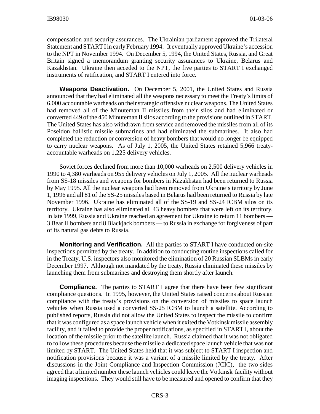compensation and security assurances. The Ukrainian parliament approved the Trilateral Statement and START I in early February 1994. It eventually approved Ukraine's accession to the NPT in November 1994. On December 5, 1994, the United States, Russia, and Great Britain signed a memorandum granting security assurances to Ukraine, Belarus and Kazakhstan. Ukraine then acceded to the NPT, the five parties to START I exchanged instruments of ratification, and START I entered into force.

**Weapons Deactivation.** On December 5, 2001, the United States and Russia announced that they had eliminated all the weapons necessary to meet the Treaty's limits of 6,000 accountable warheads on their strategic offensive nuclear weapons. The United States had removed all of the Minuteman II missiles from their silos and had eliminated or converted 449 of the 450 Minuteman II silos according to the provisions outlined in START. The United States has also withdrawn from service and removed the missiles from all of its Poseidon ballistic missile submarines and had eliminated the submarines. It also had completed the reduction or conversion of heavy bombers that would no longer be equipped to carry nuclear weapons. As of July 1, 2005, the United States retained 5,966 treatyaccountable warheads on 1,225 delivery vehicles.

Soviet forces declined from more than 10,000 warheads on 2,500 delivery vehicles in 1990 to 4,380 warheads on 955 delivery vehicles on July 1, 2005. All the nuclear warheads from SS-18 missiles and weapons for bombers in Kazakhstan had been returned to Russia by May 1995. All the nuclear weapons had been removed from Ukraine's territory by June 1, 1996 and all 81 of the SS-25 missiles based in Belarus had been returned to Russia by late November 1996. Ukraine has eliminated all of the SS-19 and SS-24 ICBM silos on its territory. Ukraine has also eliminated all 43 heavy bombers that were left on its territory. In late 1999, Russia and Ukraine reached an agreement for Ukraine to return 11 bombers — 3 Bear H bombers and 8 Blackjack bombers — to Russia in exchange for forgiveness of part of its natural gas debts to Russia.

**Monitoring and Verification.** All the parties to START I have conducted on-site inspections permitted by the treaty. In addition to conducting routine inspections called for in the Treaty, U.S. inspectors also monitored the elimination of 20 Russian SLBMs in early December 1997. Although not mandated by the treaty, Russia eliminated these missiles by launching them from submarines and destroying them shortly after launch.

**Compliance.** The parties to START I agree that there have been few significant compliance questions. In 1995, however, the United States raised concerns about Russian compliance with the treaty's provisions on the conversion of missiles to space launch vehicles when Russia used a converted SS-25 ICBM to launch a satellite. According to published reports, Russia did not allow the United States to inspect the missile to confirm that it was configured as a space launch vehicle when it exited the Votkinsk missile assembly facility, and it failed to provide the proper notifications, as specified in START I, about the location of the missile prior to the satellite launch. Russia claimed that it was not obligated to follow these procedures because the missile a dedicated space launch vehicle that was not limited by START. The United States held that it was subject to START I inspection and notification provisions because it was a variant of a missile limited by the treaty. After discussions in the Joint Compliance and Inspection Commission (JCIC), the two sides agreed that a limited number these launch vehicles could leave the Votkinsk facility without imaging inspections. They would still have to be measured and opened to confirm that they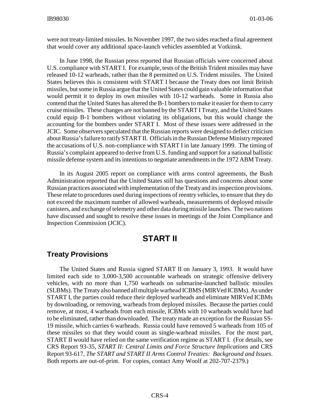were not treaty-limited missiles. In November 1997, the two sides reached a final agreement that would cover any additional space-launch vehicles assembled at Votkinsk.

In June 1998, the Russian press reported that Russian officials were concerned about U.S. compliance with START I. For example, tests of the British Trident missiles may have released 10-12 warheads, rather than the 8 permitted on U.S. Trident missiles. The United States believes this is consistent with START I because the Treaty does not limit British missiles, but some in Russia argue that the United States could gain valuable information that would permit it to deploy its own missiles with 10-12 warheads. Some in Russia also contend that the United States has altered the B-1 bombers to make it easier for them to carry cruise missiles. These changes are not banned by the START I Treaty, and the United States could equip B-1 bombers without violating its obligations, but this would change the accounting for the bombers under START I. Most of these issues were addressed in the JCIC. Some observers speculated that the Russian reports were designed to deflect criticism about Russia's failure to ratify START II. Officials in the Russian Defense Ministry repeated the accusations of U.S. non-compliance with START I in late January 1999. The timing of Russia's complaint appeared to derive from U.S. funding and support for a national ballistic missile defense system and its intentions to negotiate amendments in the 1972 ABM Treaty.

In its August 2005 report on compliance with arms control agreements, the Bush Administration reported that the United States still has questions and concerns about some Russian practices associated with implementation of the Treaty and its inspection provisions. These relate to procedures used during inspections of reentry vehicles, to ensure that they do not exceed the maximum number of allowed warheads, measurements of deployed missile canisters, and exchange of telemetry and other data during missile launches. The two nations have discussed and sought to resolve these issues in meetings of the Joint Compliance and Inspection Commission (JCIC).

## **START II**

## **Treaty Provisions**

The United States and Russia signed START II on January 3, 1993. It would have limited each side to 3,000-3,500 accountable warheads on strategic offensive delivery vehicles, with no more than 1,750 warheads on submarine-launched ballistic missiles (SLBMs). The Treaty also banned all multiple warhead ICBMS (MIRVed ICBMs). As under START I, the parties could reduce their deployed warheads and eliminate MIRVed ICBMs by downloading, or removing, warheads from deployed missiles. Because the parties could remove, at most, 4 warheads from each missile, ICBMs with 10 warheads would have had to be eliminated, rather than downloaded. The treaty made an exception for the Russian SS-19 missile, which carries 6 warheads. Russia could have removed 5 warheads from 105 of these missiles so that they would count as single-warhead missiles. For the most part, START II would have relied on the same verification regime as START I. (For details, see CRS Report 93-35, *START II: Central Limits and Force Structure Implications* and CRS Report 93-617, *The START and START II Arms Control Treaties: Background and Issues*. Both reports are out-of-print. For copies, contact Amy Woolf at 202-707-2379.)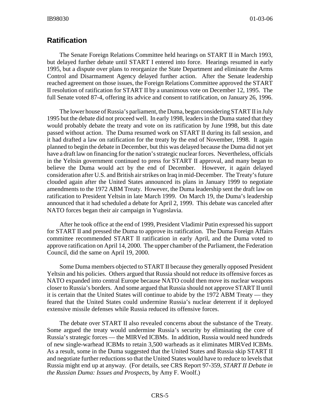## **Ratification**

The Senate Foreign Relations Committee held hearings on START II in March 1993, but delayed further debate until START I entered into force. Hearings resumed in early 1995, but a dispute over plans to reorganize the State Department and eliminate the Arms Control and Disarmament Agency delayed further action. After the Senate leadership reached agreement on those issues, the Foreign Relations Committee approved the START II resolution of ratification for START II by a unanimous vote on December 12, 1995. The full Senate voted 87-4, offering its advice and consent to ratification, on January 26, 1996.

The lower house of Russia's parliament, the Duma, began considering START II in July 1995 but the debate did not proceed well. In early 1998, leaders in the Duma stated that they would probably debate the treaty and vote on its ratification by June 1998, but this date passed without action. The Duma resumed work on START II during its fall session, and it had drafted a law on ratification for the treaty by the end of November, 1998. It again planned to begin the debate in December, but this was delayed because the Duma did not yet have a draft law on financing for the nation's strategic nuclear forces. Nevertheless, officials in the Yeltsin government continued to press for START II approval, and many began to believe the Duma would act by the end of December. However, it again delayed consideration after U.S. and British air strikes on Iraq in mid-December. The Treaty's future clouded again after the United States announced its plans in January 1999 to negotiate amendments to the 1972 ABM Treaty. However, the Duma leadership sent the draft law on ratification to President Yeltsin in late March 1999. On March 19, the Duma's leadership announced that it had scheduled a debate for April 2, 1999. This debate was canceled after NATO forces began their air campaign in Yugoslavia.

After he took office at the end of 1999, President Vladimir Putin expressed his support for START II and pressed the Duma to approve its ratification. The Duma Foreign Affairs committee recommended START II ratification in early April, and the Duma voted to approve ratification on April 14, 2000. The upper chamber of the Parliament, the Federation Council, did the same on April 19, 2000.

Some Duma members objected to START II because they generally opposed President Yeltsin and his policies. Others argued that Russia should not reduce its offensive forces as NATO expanded into central Europe because NATO could then move its nuclear weapons closer to Russia's borders. And some argued that Russia should not approve START II until it is certain that the United States will continue to abide by the 1972 ABM Treaty — they feared that the United States could undermine Russia's nuclear deterrent if it deployed extensive missile defenses while Russia reduced its offensive forces.

The debate over START II also revealed concerns about the substance of the Treaty. Some argued the treaty would undermine Russia's security by eliminating the core of Russia's strategic forces — the MIRVed ICBMs. In addition, Russia would need hundreds of new single-warhead ICBMs to retain 3,500 warheads as it eliminates MIRVed ICBMs. As a result, some in the Duma suggested that the United States and Russia skip START II and negotiate further reductions so that the United States would have to reduce to levels that Russia might end up at anyway. (For details, see CRS Report 97-359, *START II Debate in the Russian Duma: Issues and Prospects*, by Amy F. Woolf.)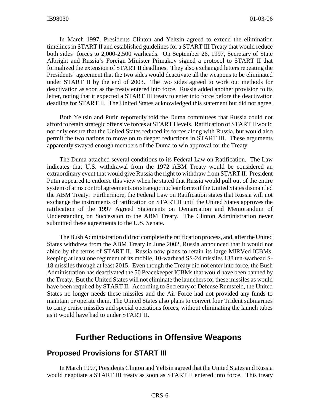In March 1997, Presidents Clinton and Yeltsin agreed to extend the elimination timelines in START II and established guidelines for a START III Treaty that would reduce both sides' forces to 2,000-2,500 warheads. On September 26, 1997, Secretary of State Albright and Russia's Foreign Minister Primakov signed a protocol to START II that formalized the extension of START II deadlines. They also exchanged letters repeating the Presidents' agreement that the two sides would deactivate all the weapons to be eliminated under START II by the end of 2003. The two sides agreed to work out methods for deactivation as soon as the treaty entered into force. Russia added another provision to its letter, noting that it expected a START III treaty to enter into force before the deactivation deadline for START II. The United States acknowledged this statement but did not agree.

Both Yeltsin and Putin reportedly told the Duma committees that Russia could not afford to retain strategic offensive forces at START I levels. Ratification of START II would not only ensure that the United States reduced its forces along with Russia, but would also permit the two nations to move on to deeper reductions in START III. These arguments apparently swayed enough members of the Duma to win approval for the Treaty.

The Duma attached several conditions to its Federal Law on Ratification. The Law indicates that U.S. withdrawal from the 1972 ABM Treaty would be considered an extraordinary event that would give Russia the right to withdraw from START II. President Putin appeared to endorse this view when he stated that Russia would pull out of the entire system of arms control agreements on strategic nuclear forces if the United States dismantled the ABM Treaty. Furthermore, the Federal Law on Ratification states that Russia will not exchange the instruments of ratification on START II until the United States approves the ratification of the 1997 Agreed Statements on Demarcation and Memorandum of Understanding on Succession to the ABM Treaty. The Clinton Administration never submitted these agreements to the U.S. Senate.

The Bush Administration did not complete the ratification process, and, after the United States withdrew from the ABM Treaty in June 2002, Russia announced that it would not abide by the terms of START II. Russia now plans to retain its large MIRVed ICBMs, keeping at least one regiment of its mobile, 10-warhead SS-24 missiles 138 ten-warhead S-18 missiles through at least 2015. Even though the Treaty did not enter into force, the Bush Administration has deactivated the 50 Peacekeeper ICBMs that would have been banned by the Treaty. But the United States will not eliminate the launchers for these missiles as would have been required by START II. According to Secretary of Defense Rumsfeld, the United States no longer needs these missiles and the Air Force had not provided any funds to maintain or operate them. The United States also plans to convert four Trident submarines to carry cruise missiles and special operations forces, without eliminating the launch tubes as it would have had to under START II.

## **Further Reductions in Offensive Weapons**

#### **Proposed Provisions for START III**

In March 1997, Presidents Clinton and Yeltsin agreed that the United States and Russia would negotiate a START III treaty as soon as START II entered into force. This treaty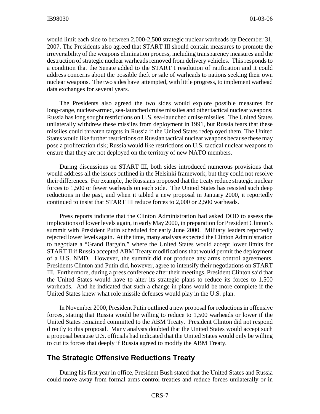would limit each side to between 2,000-2,500 strategic nuclear warheads by December 31, 2007. The Presidents also agreed that START III should contain measures to promote the irreversibility of the weapons elimination process, including transparency measures and the destruction of strategic nuclear warheads removed from delivery vehicles. This responds to a condition that the Senate added to the START I resolution of ratification and it could address concerns about the possible theft or sale of warheads to nations seeking their own nuclear weapons. The two sides have attempted, with little progress, to implement warhead data exchanges for several years.

The Presidents also agreed the two sides would explore possible measures for long-range, nuclear-armed, sea-launched cruise missiles and other tactical nuclear weapons. Russia has long sought restrictions on U.S. sea-launched cruise missiles. The United States unilaterally withdrew these missiles from deployment in 1991, but Russia fears that these missiles could threaten targets in Russia if the United States redeployed them. The United States would like further restrictions on Russian tactical nuclear weapons because these may pose a proliferation risk; Russia would like restrictions on U.S. tactical nuclear weapons to ensure that they are not deployed on the territory of new NATO members.

During discussions on START III, both sides introduced numerous provisions that would address all the issues outlined in the Helsinki framework, but they could not resolve their differences. For example, the Russians proposed that the treaty reduce strategic nuclear forces to 1,500 or fewer warheads on each side. The United States has resisted such deep reductions in the past, and when it tabled a new proposal in January 2000, it reportedly continued to insist that START III reduce forces to 2,000 or 2,500 warheads.

Press reports indicate that the Clinton Administration had asked DOD to assess the implications of lower levels again, in early May 2000, in preparation for President Clinton's summit with President Putin scheduled for early June 2000. Military leaders reportedly rejected lower levels again. At the time, many analysts expected the Clinton Administration to negotiate a "Grand Bargain," where the United States would accept lower limits for START II if Russia accepted ABM Treaty modifications that would permit the deployment of a U.S. NMD. However, the summit did not produce any arms control agreements. Presidents Clinton and Putin did, however, agree to intensify their negotiations on START III. Furthermore, during a press conference after their meetings, President Clinton said that the United States would have to alter its strategic plans to reduce its forces to 1,500 warheads. And he indicated that such a change in plans would be more complete if the United States knew what role missile defenses would play in the U.S. plan.

In November 2000, President Putin outlined a new proposal for reductions in offensive forces, stating that Russia would be willing to reduce to 1,500 warheads or lower if the United States remained committed to the ABM Treaty. President Clinton did not respond directly to this proposal. Many analysts doubted that the United States would accept such a proposal because U.S. officials had indicated that the United States would only be willing to cut its forces that deeply if Russia agreed to modify the ABM Treaty.

## **The Strategic Offensive Reductions Treaty**

During his first year in office, President Bush stated that the United States and Russia could move away from formal arms control treaties and reduce forces unilaterally or in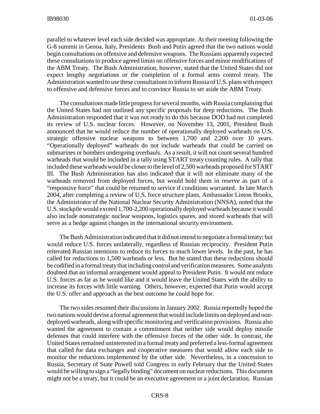parallel to whatever level each side decided was appropriate. At their meeting following the G-8 summit in Genoa, Italy, Presidents Bush and Putin agreed that the two nations would begin consultations on offensive and defensive weapons. The Russians apparently expected these consultations to produce agreed limits on offensive forces and minor modifications of the ABM Treaty. The Bush Administration, however, stated that the United States did not expect lengthy negotiations or the completion of a formal arms control treaty. The Administration wanted to use these consultations to inform Russia of U.S. plans with respect to offensive and defensive forces and to convince Russia to set aside the ABM Treaty.

The consultations made little progress for several months, with Russia complaining that the United States had not outlined any specific proposals for deep reductions. The Bush Administration responded that it was not ready to do this because DOD had not completed its review of U.S. nuclear forces. However, on November 13, 2001, President Bush announced that he would reduce the number of operationally deployed warheads on U.S. strategic offensive nuclear weapons to between 1,700 and 2,200 over 10 years. "Operationally deployed" warheads do not include warheads that could be carried on submarines or bombers undergoing overhauls. As a result, it will not count several hundred warheads that would be included in a tally using START treaty counting rules. A tally that included these warheads would be closer to the level of 2,500 warheads proposed for START III. The Bush Administration has also indicated that it will not eliminate many of the warheads removed from deployed forces, but would hold them in reserve as part of a "responsive force" that could be returned to service if conditions warranted. In late March 2004, after completing a review of U.S. force structure plans, Ambassador Linton Brooks, the Administrator of the National Nuclear Security Administration (NNSA), noted that the U.S. stockpile would exceed 1,700-2,200 operationally deployed warheads because it would also include nonstrategic nuclear weapons, logistics spares, and stored warheads that will serve as a hedge against changes in the international security environment.

The Bush Administration indicated that it did not intend to negotiate a formal treaty; but would reduce U.S. forces unilaterally, regardless of Russian reciprocity. President Putin reiterated Russian intentions to reduce its forces to much lower levels. In the past, he has called for reductions to 1,500 warheads or less. But he stated that these reductions should be codified in a formal treaty that including control and verification measures. Some analysts doubted that an informal arrangement would appeal to President Putin. It would not reduce U.S. forces as far as he would like and it would leave the United States with the ability to increase its forces with little warning. Others, however, expected that Putin would accept the U.S. offer and approach as the best outcome he could hope for.

The two sides resumed their discussions in January 2002. Russia reportedly hoped the two nations would devise a formal agreement that would include limits on deployed and nondeployed warheads, along with specific monitoring and verification provisions. Russia also wanted the agreement to contain a commitment that neither side would deploy missile defenses that could interfere with the offensive forces of the other side. In contrast, the United States remained uninterested in a formal treaty and preferred a less-formal agreement that called for data exchanges and cooperative measures that would allow each side to monitor the reductions implemented by the other side. Nevertheless, in a concession to Russia, Secretary of State Powell told Congress in early February that the United States would be willing to sign a "legally binding" document on nuclear reductions. This document might not be a treaty, but it could be an executive agreement or a joint declaration. Russian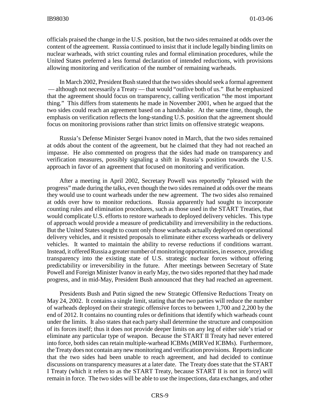officials praised the change in the U.S. position, but the two sides remained at odds over the content of the agreement. Russia continued to insist that it include legally binding limits on nuclear warheads, with strict counting rules and formal elimination procedures, while the United States preferred a less formal declaration of intended reductions, with provisions allowing monitoring and verification of the number of remaining warheads.

In March 2002, President Bush stated that the two sides should seek a formal agreement — although not necessarily a Treaty — that would "outlive both of us." But he emphasized that the agreement should focus on transparency, calling verification "the most important thing." This differs from statements he made in November 2001, when he argued that the two sides could reach an agreement based on a handshake. At the same time, though, the emphasis on verification reflects the long-standing U.S. position that the agreement should focus on monitoring provisions rather than strict limits on offensive strategic weapons.

Russia's Defense Minister Sergei Ivanov noted in March, that the two sides remained at odds about the content of the agreement, but he claimed that they had not reached an impasse. He also commented on progress that the sides had made on transparency and verification measures, possibly signaling a shift in Russia's position towards the U.S. approach in favor of an agreement that focused on monitoring and verification.

After a meeting in April 2002, Secretary Powell was reportedly "pleased with the progress" made during the talks, even though the two sides remained at odds over the means they would use to count warheads under the new agreement. The two sides also remained at odds over how to monitor reductions. Russia apparently had sought to incorporate counting rules and elimination procedures, such as those used in the START Treaties, that would complicate U.S. efforts to restore warheads to deployed delivery vehicles. This type of approach would provide a measure of predictability and irreversibility in the reductions. But the United States sought to count only those warheads actually deployed on operational delivery vehicles, and it resisted proposals to eliminate either excess warheads or delivery vehicles. It wanted to maintain the ability to reverse reductions if conditions warrant. Instead, it offered Russia a greater number of monitoring opportunities, in essence, providing transparency into the existing state of U.S. strategic nuclear forces without offering predictability or irreversibility in the future. After meetings between Secretary of State Powell and Foreign Minister Ivanov in early May, the two sides reported that they had made progress, and in mid-May, President Bush announced that they had reached an agreement.

Presidents Bush and Putin signed the new Strategic Offensive Reductions Treaty on May 24, 2002. It contains a single limit, stating that the two parties will reduce the number of warheads deployed on their strategic offensive forces to between 1,700 and 2,200 by the end of 2012. It contains no counting rules or definitions that identify which warheads count under the limits. It also states that each party shall determine the structure and composition of its forces itself; thus it does not provide deeper limits on any leg of either side's triad or eliminate any particular type of weapon. Because the START II Treaty had never entered into force, both sides can retain multiple-warhead ICBMs (MIRVed ICBMs). Furthermore, the Treaty does not contain any new monitoring and verification provisions. Reports indicate that the two sides had been unable to reach agreement, and had decided to continue discussions on transparency measures at a later date. The Treaty does state that the START I Treaty (which it refers to as the START Treaty, because START II is not in force) will remain in force. The two sides will be able to use the inspections, data exchanges, and other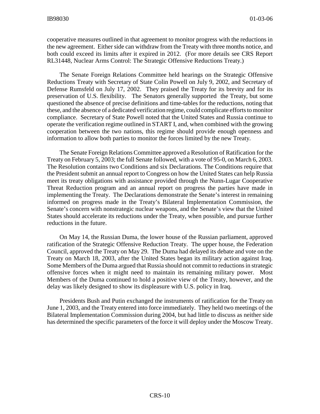cooperative measures outlined in that agreement to monitor progress with the reductions in the new agreement. Either side can withdraw from the Treaty with three months notice, and both could exceed its limits after it expired in 2012. (For more details see CRS Report RL31448, Nuclear Arms Control: The Strategic Offensive Reductions Treaty.)

The Senate Foreign Relations Committee held hearings on the Strategic Offensive Reductions Treaty with Secretary of State Colin Powell on July 9, 2002, and Secretary of Defense Rumsfeld on July 17, 2002. They praised the Treaty for its brevity and for its preservation of U.S. flexibility. The Senators generally supported the Treaty, but some questioned the absence of precise definitions and time-tables for the reductions, noting that these, and the absence of a dedicated verification regime, could complicate efforts to monitor compliance. Secretary of State Powell noted that the United States and Russia continue to operate the verification regime outlined in START I, and, when combined with the growing cooperation between the two nations, this regime should provide enough openness and information to allow both parties to monitor the forces limited by the new Treaty.

The Senate Foreign Relations Committee approved a Resolution of Ratification for the Treaty on February 5, 2003; the full Senate followed, with a vote of 95-0, on March 6, 2003. The Resolution contains two Conditions and six Declarations. The Conditions require that the President submit an annual report to Congress on how the United States can help Russia meet its treaty obligations with assistance provided through the Nunn-Lugar Cooperative Threat Reduction program and an annual report on progress the parties have made in implementing the Treaty. The Declarations demonstrate the Senate's interest in remaining informed on progress made in the Treaty's Bilateral Implementation Commission, the Senate's concern with nonstrategic nuclear weapons, and the Senate's view that the United States should accelerate its reductions under the Treaty, when possible, and pursue further reductions in the future.

On May 14, the Russian Duma, the lower house of the Russian parliament, approved ratification of the Strategic Offensive Reduction Treaty. The upper house, the Federation Council, approved the Treaty on May 29. The Duma had delayed its debate and vote on the Treaty on March 18, 2003, after the United States began its military action against Iraq. Some Members of the Duma argued that Russia should not commit to reductions in strategic offensive forces when it might need to maintain its remaining military power. Most Members of the Duma continued to hold a positive view of the Treaty, however, and the delay was likely designed to show its displeasure with U.S. policy in Iraq.

Presidents Bush and Putin exchanged the instruments of ratification for the Treaty on June 1, 2003, and the Treaty entered into force immediately. They held two meetings of the Bilateral Implementation Commission during 2004, but had little to discuss as neither side has determined the specific parameters of the force it will deploy under the Moscow Treaty.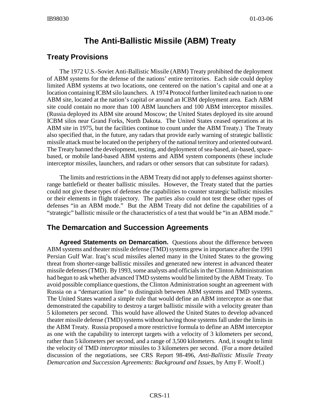## **The Anti-Ballistic Missile (ABM) Treaty**

## **Treaty Provisions**

The 1972 U.S.-Soviet Anti-Ballistic Missile (ABM) Treaty prohibited the deployment of ABM systems for the defense of the nations' entire territories. Each side could deploy limited ABM systems at two locations, one centered on the nation's capital and one at a location containing ICBM silo launchers. A 1974 Protocol further limited each nation to one ABM site, located at the nation's capital *or* around an ICBM deployment area. Each ABM site could contain no more than 100 ABM launchers and 100 ABM interceptor missiles. (Russia deployed its ABM site around Moscow; the United States deployed its site around ICBM silos near Grand Forks, North Dakota. The United States ceased operations at its ABM site in 1975, but the facilities continue to count under the ABM Treaty.) The Treaty also specified that, in the future, any radars that provide early warning of strategic ballistic missile attack must be located on the periphery of the national territory and oriented outward. The Treaty banned the development, testing, and deployment of sea-based, air-based, spacebased, or mobile land-based ABM systems and ABM system components (these include interceptor missiles, launchers, and radars or other sensors that can substitute for radars).

The limits and restrictions in the ABM Treaty did not apply to defenses against shorterrange battlefield or theater ballistic missiles. However, the Treaty stated that the parties could not give these types of defenses the capabilities to counter strategic ballistic missiles or their elements in flight trajectory. The parties also could not test these other types of defenses "in an ABM mode." But the ABM Treaty did not define the capabilities of a "strategic" ballistic missile or the characteristics of a test that would be "in an ABM mode."

## **The Demarcation and Succession Agreements**

**Agreed Statements on Demarcation.** Questions about the difference between ABM systems and theater missile defense (TMD) systems grew in importance after the 1991 Persian Gulf War. Iraq's scud missiles alerted many in the United States to the growing threat from shorter-range ballistic missiles and generated new interest in advanced theater missile defenses (TMD). By 1993, some analysts and officials in the Clinton Administration had begun to ask whether advanced TMD systems would be limited by the ABM Treaty. To avoid possible compliance questions, the Clinton Administration sought an agreement with Russia on a "demarcation line" to distinguish between ABM systems and TMD systems. The United States wanted a simple rule that would define an ABM interceptor as one that demonstrated the capability to destroy a target ballistic missile with a velocity greater than 5 kilometers per second. This would have allowed the United States to develop advanced theater missile defense (TMD) systems without having those systems fall under the limits in the ABM Treaty. Russia proposed a more restrictive formula to define an ABM interceptor as one with the capability to intercept targets with a velocity of 3 kilometers per second, rather than 5 kilometers per second, and a range of 3,500 kilometers. And, it sought to limit the velocity of TMD *interceptor* missiles to 3 kilometers per second. (For a more detailed discussion of the negotiations, see CRS Report 98-496, *Anti-Ballistic Missile Treaty Demarcation and Succession Agreements: Background and Issues*, by Amy F. Woolf.)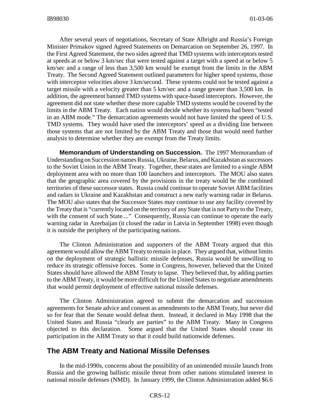After several years of negotiations, Secretary of State Albright and Russia's Foreign Minister Primakov signed Agreed Statements on Demarcation on September 26, 1997. In the First Agreed Statement, the two sides agreed that TMD systems with interceptors tested at speeds at or below 3 km/sec that were tested against a target with a speed at or below 5 km/sec and a range of less than 3,500 km would be exempt from the limits in the ABM Treaty. The Second Agreed Statement outlined parameters for higher speed systems, those with interceptor velocities above 3 km/second. These systems could not be tested against a target missile with a velocity greater than 5 km/sec and a range greater than 3,500 km. In addition, the agreement banned TMD systems with space-based interceptors. However, the agreement did not state whether these more capable TMD systems would be covered by the limits in the ABM Treaty. Each nation would decide whether its systems had been "tested in an ABM mode." The demarcation agreements would not have limited the speed of U.S. TMD systems. They would have used the interceptors' speed as a dividing line between those systems that are not limited by the ABM Treaty and those that would need further analysis to determine whether they are exempt from the Treaty limits.

**Memorandum of Understanding on Succession.** The 1997 Memorandum of Understanding on Succession names Russia, Ukraine, Belarus, and Kazakhstan as successors to the Soviet Union in the ABM Treaty. Together, these states are limited to a single ABM deployment area with no more than 100 launchers and interceptors. The MOU also states that the geographic area covered by the provisions in the treaty would be the combined territories of these successor states. Russia could continue to operate Soviet ABM facilities and radars in Ukraine and Kazakhstan and construct a new early warning radar in Belarus. The MOU also states that the Successor States may continue to use any facility covered by the Treaty that is "currently located on the territory of any State that is not Party to the Treaty, with the consent of such State...." Consequently, Russia can continue to operate the early warning radar in Azerbaijan (it closed the radar in Latvia in September 1998) even though it is outside the periphery of the participating nations.

The Clinton Administration and supporters of the ABM Treaty argued that this agreement would allow the ABM Treaty to remain in place. They argued that, without limits on the deployment of strategic ballistic missile defenses, Russia would be unwilling to reduce its strategic offensive forces. Some in Congress, however, believed that the United States should have allowed the ABM Treaty to lapse. They believed that, by adding parties to the ABM Treaty, it would be more difficult for the United States to negotiate amendments that would permit deployment of effective national missile defenses.

The Clinton Administration agreed to submit the demarcation and succession agreements for Senate advice and consent as amendments to the ABM Treaty, but never did so for fear that the Senate would defeat them. Instead, it declared in May 1998 that the United States and Russia "clearly are parties" to the ABM Treaty. Many in Congress objected to this declaration. Some argued that the United States should cease its participation in the ABM Treaty so that it could build nationwide defenses.

## **The ABM Treaty and National Missile Defenses**

In the mid-1990s, concerns about the possibility of an unintended missile launch from Russia and the growing ballistic missile threat from other nations stimulated interest in national missile defenses (NMD). In January 1999, the Clinton Administration added \$6.6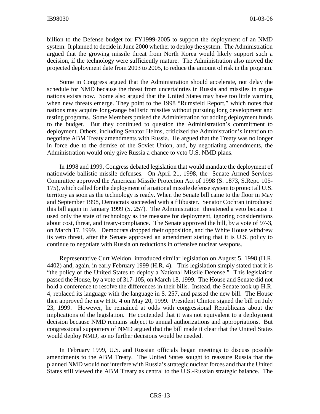billion to the Defense budget for FY1999-2005 to support the deployment of an NMD system. It planned to decide in June 2000 whether to deploy the system. The Administration argued that the growing missile threat from North Korea would likely support such a decision, if the technology were sufficiently mature. The Administration also moved the projected deployment date from 2003 to 2005, to reduce the amount of risk in the program.

Some in Congress argued that the Administration should accelerate, not delay the schedule for NMD because the threat from uncertainties in Russia and missiles in rogue nations exists now. Some also argued that the United States may have too little warning when new threats emerge. They point to the 1998 "Rumsfeld Report," which notes that nations may acquire long-range ballistic missiles without pursuing long development and testing programs. Some Members praised the Administration for adding deployment funds to the budget. But they continued to question the Administration's commitment to deployment. Others, including Senator Helms, criticized the Administration's intention to negotiate ABM Treaty amendments with Russia. He argued that the Treaty was no longer in force due to the demise of the Soviet Union, and, by negotiating amendments, the Administration would only give Russia a chance to veto U.S. NMD plans.

In 1998 and 1999, Congress debated legislation that would mandate the deployment of nationwide ballistic missile defenses. On April 21, 1998, the Senate Armed Services Committee approved the American Missile Protection Act of 1998 (S. 1873, S.Rept. 105- 175), which called for the deployment of a national missile defense system to protect all U.S. territory as soon as the technology is ready. When the Senate bill came to the floor in May and September 1998, Democrats succeeded with a filibuster. Senator Cochran introduced this bill again in January 1999 (S. 257). The Administration threatened a veto because it used only the state of technology as the measure for deployment, ignoring considerations about cost, threat, and treaty-compliance. The Senate approved the bill, by a vote of 97-3, on March 17, 1999. Democrats dropped their opposition, and the White House withdrew its veto threat, after the Senate approved an amendment stating that it is U.S. policy to continue to negotiate with Russia on reductions in offensive nuclear weapons.

Representative Curt Weldon introduced similar legislation on August 5, 1998 (H.R. 4402) and, again, in early February 1999 (H.R. 4). This legislation simply stated that it is "the policy of the United States to deploy a National Missile Defense." This legislation passed the House, by a vote of 317-105, on March 18, 1999. The House and Senate did not hold a conference to resolve the differences in their bills. Instead, the Senate took up H.R. 4, replaced its language with the language in S. 257, and passed the new bill. The House then approved the new H.R. 4 on May 20, 1999. President Clinton signed the bill on July 23, 1999. However, he remained at odds with congressional Republicans about the implications of the legislation. He contended that it was not equivalent to a deployment decision because NMD remains subject to annual authorizations and appropriations. But congressional supporters of NMD argued that the bill made it clear that the United States would deploy NMD, so no further decisions would be needed.

In February 1999, U.S. and Russian officials began meetings to discuss possible amendments to the ABM Treaty. The United States sought to reassure Russia that the planned NMD would not interfere with Russia's strategic nuclear forces and that the United States still viewed the ABM Treaty as central to the U.S.-Russian strategic balance. The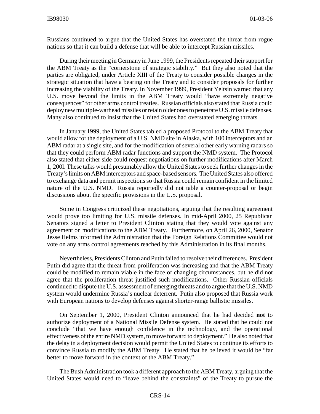Russians continued to argue that the United States has overstated the threat from rogue nations so that it can build a defense that will be able to intercept Russian missiles.

During their meeting in Germany in June 1999, the Presidents repeated their support for the ABM Treaty as the "cornerstone of strategic stability." But they also noted that the parties are obligated, under Article XIII of the Treaty to consider possible changes in the strategic situation that have a bearing on the Treaty and to consider proposals for further increasing the viability of the Treaty. In November 1999, President Yeltsin warned that any U.S. move beyond the limits in the ABM Treaty would "have extremely negative consequences" for other arms control treaties. Russian officials also stated that Russia could deploy new multiple-warhead missiles or retain older ones to penetrate U.S. missile defenses. Many also continued to insist that the United States had overstated emerging threats.

In January 1999, the United States tabled a proposed Protocol to the ABM Treaty that would allow for the deployment of a U.S. NMD site in Alaska, with 100 interceptors and an ABM radar at a single site, and for the modification of several other early warning radars so that they could perform ABM radar functions and support the NMD system. The Protocol also stated that either side could request negotiations on further modifications after March 1, 200l. These talks would presumably allow the United States to seek further changes in the Treaty's limits on ABM interceptors and space-based sensors. The United States also offered to exchange data and permit inspections so that Russia could remain confident in the limited nature of the U.S. NMD. Russia reportedly did not table a counter-proposal or begin discussions about the specific provisions in the U.S. proposal.

Some in Congress criticized these negotiations, arguing that the resulting agreement would prove too limiting for U.S. missile defenses. In mid-April 2000, 25 Republican Senators signed a letter to President Clinton stating that they would vote against any agreement on modifications to the ABM Treaty. Furthermore, on April 26, 2000, Senator Jesse Helms informed the Administration that the Foreign Relations Committee would not vote on any arms control agreements reached by this Administration in its final months.

Nevertheless, Presidents Clinton and Putin failed to resolve their differences. President Putin did agree that the threat from proliferation was increasing and that the ABM Treaty could be modified to remain viable in the face of changing circumstances, but he did not agree that the proliferation threat justified such modifications. Other Russian officials continued to dispute the U.S. assessment of emerging threats and to argue that the U.S. NMD system would undermine Russia's nuclear deterrent. Putin also proposed that Russia work with European nations to develop defenses against shorter-range ballistic missiles.

On September 1, 2000, President Clinton announced that he had decided **not** to authorize deployment of a National Missile Defense system. He stated that he could not conclude "that we have enough confidence in the technology, and the operational effectiveness of the entire NMD system, to move forward to deployment." He also noted that the delay in a deployment decision would permit the United States to continue its efforts to convince Russia to modify the ABM Treaty. He stated that he believed it would be "far better to move forward in the context of the ABM Treaty."

The Bush Administration took a different approach to the ABM Treaty, arguing that the United States would need to "leave behind the constraints" of the Treaty to pursue the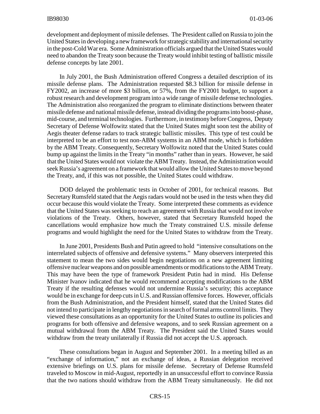development and deployment of missile defenses. The President called on Russia to join the United States in developing a new framework for strategic stability and international security in the post-Cold War era. Some Administration officials argued that the United States would need to abandon the Treaty soon because the Treaty would inhibit testing of ballistic missile defense concepts by late 2001.

In July 2001, the Bush Administration offered Congress a detailed description of its missile defense plans. The Administration requested \$8.3 billion for missile defense in FY2002, an increase of more \$3 billion, or 57%, from the FY2001 budget, to support a robust research and development program into a wide range of missile defense technologies. The Administration also reorganized the program to eliminate distinctions between theater missile defense and national missile defense, instead dividing the programs into boost-phase, mid-course, and terminal technologies. Furthermore, in testimony before Congress, Deputy Secretary of Defense Wolfowitz stated that the United States might soon test the ability of Aegis theater defense radars to track strategic ballistic missiles. This type of test could be interpreted to be an effort to test non-ABM systems in an ABM mode, which is forbidden by the ABM Treaty. Consequently, Secretary Wolfowitz noted that the United States could bump up against the limits in the Treaty "in months" rather than in years. However, he said that the United States would not violate the ABM Treaty. Instead, the Administration would seek Russia's agreement on a framework that would allow the United States to move beyond the Treaty, and, if this was not possible, the United States could withdraw.

DOD delayed the problematic tests in October of 2001, for technical reasons. But Secretary Rumsfeld stated that the Aegis radars would not be used in the tests when they did occur because this would violate the Treaty. Some interpreted these comments as evidence that the United States was seeking to reach an agreement with Russia that would not involve violations of the Treaty. Others, however, stated that Secretary Rumsfeld hoped the cancellations would emphasize how much the Treaty constrained U.S. missile defense programs and would highlight the need for the United States to withdraw from the Treaty.

In June 2001, Presidents Bush and Putin agreed to hold "intensive consultations on the interrelated subjects of offensive and defensive systems." Many observers interpreted this statement to mean the two sides would begin negotiations on a new agreement limiting offensive nuclear weapons and on possible amendments or modifications to the ABM Treaty. This may have been the type of framework President Putin had in mind. His Defense Minister Ivanov indicated that he would recommend accepting modifications to the ABM Treaty if the resulting defenses would not undermine Russia's security; this acceptance would be in exchange for deep cuts in U.S. and Russian offensive forces. However, officials from the Bush Administration, and the President himself, stated that the United States did not intend to participate in lengthy negotiations in search of formal arms control limits. They viewed these consultations as an opportunity for the United States to outline its policies and programs for both offensive and defensive weapons, and to seek Russian agreement on a mutual withdrawal from the ABM Treaty. The President said the United States would withdraw from the treaty unilaterally if Russia did not accept the U.S. approach.

These consultations began in August and September 2001. In a meeting billed as an "exchange of information," not an exchange of ideas, a Russian delegation received extensive briefings on U.S. plans for missile defense. Secretary of Defense Rumsfeld traveled to Moscow in mid-August, reportedly in an unsuccessful effort to convince Russia that the two nations should withdraw from the ABM Treaty simultaneously. He did not